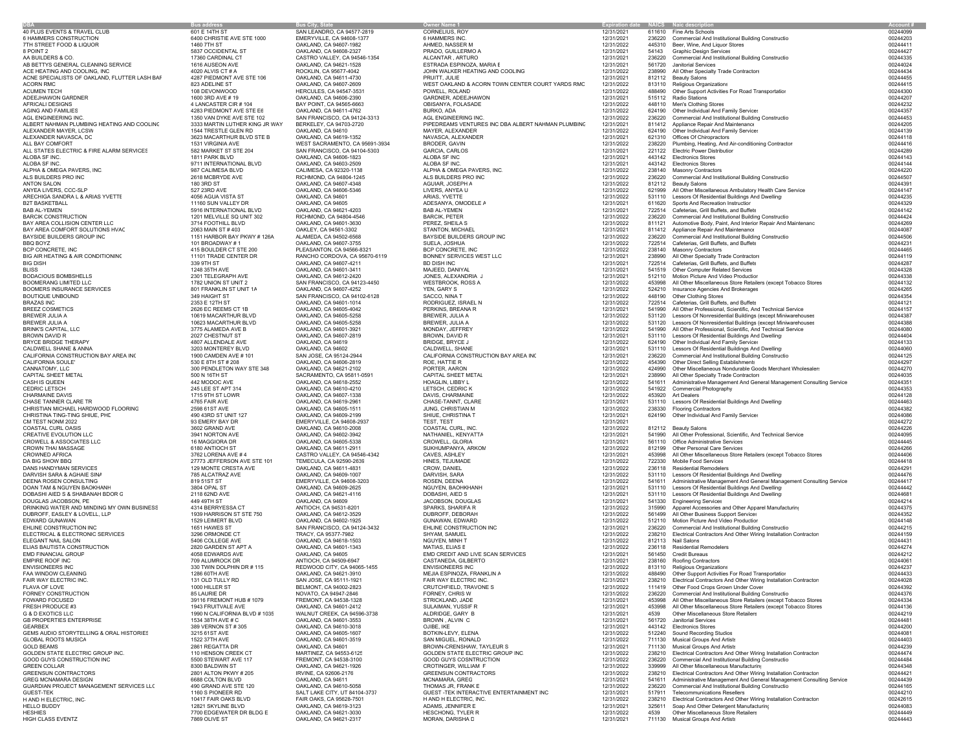|                                             | <b>Bus address</b>             | <b>Bus City, State</b>         | <b>Owner Name 1</b>                                | Expiration date NAICS Naic description |        |                                                                            |          |
|---------------------------------------------|--------------------------------|--------------------------------|----------------------------------------------------|----------------------------------------|--------|----------------------------------------------------------------------------|----------|
|                                             | 601 E 14TH ST                  |                                |                                                    |                                        |        |                                                                            | 00244099 |
| PLUS EVENTS & TRAVEL CLUB                   |                                | SAN LEANDRO, CA 94577-2819     | CORNELIUS, ROY                                     | 12/31/2021                             |        | 611610 Fine Arts Schools                                                   |          |
| AMMERS CONSTRUCTION                         | 6400 CHRISTIE AVE STE 1000     | EMERYVILLE, CA 94608-1377      | 6 HAMMERS INC.                                     | 12/31/2021                             |        | 236220 Commercial And Institutional Building Constructio                   | 00244203 |
| <b>I STREET FOOD &amp; LIQUOR</b>           | 1460 7TH ST                    | OAKLAND, CA 94607-1982         | AHMED, NASSER M                                    | 12/31/2022                             |        | 445310 Beer, Wine, And Liquor Stores                                       | 00244411 |
| OINT <sub>2</sub>                           | 5837 OCCIDENTAL ST             | OAKLAND, CA 94608-2327         | PRADO, GUILLERMO A                                 | 12/31/2021                             |        | 54143 Graphic Design Services                                              | 00244427 |
| <b>BUILDERS &amp; CO.</b>                   | 17360 CARDINAL CT              | CASTRO VALLEY, CA 94546-1354   | ALCANTAR, ARTURO                                   | 12/31/2021                             |        | 236220 Commercial And Institutional Building Constructio                   | 00244335 |
| BETTYS GENERAL CLEANING SERVICE             |                                |                                |                                                    |                                        | 561720 | <b>Janitorial Services</b>                                                 | 00244024 |
|                                             | 1616 AUSEON AVE                | OAKLAND, CA 94621-1528         | ESTRADA ESPINOZA, MARIA E                          | 12/31/2021                             |        |                                                                            |          |
| E HEATING AND COOLING, INC                  | 4020 ALVIS CT # A              | ROCKLIN, CA 95677-4042         | JOHN WALKER HEATING AND COOLING                    | 12/31/2022                             |        | 238990 All Other Specialty Trade Contractors                               | 00244434 |
| NE SPECIALISTS OF OAKLAND, FLUTTER LASH BAF | 4287 PIEDMONT AVE STE 106      | OAKLAND, CA 94611-4730         | PRUITT, JULIE                                      | 12/31/2021                             |        | 812112 Beauty Salons                                                       | 00244455 |
| ORN RMC                                     | 823 ADELINE ST                 | OAKLAND, CA 94607-2609         | WEST OAKLAND & ACORN TOWN CENTER COURT YARDS RMC   | 12/31/2022                             |        | 813110 Religious Organizations                                             | 00244415 |
| UMEN TECH                                   | 108 DEVONWOOD                  | HERCULES, CA 94547-3531        | POWELL, ROLAND                                     | 12/31/2022                             |        | 488490 Other Support Activities For Road Transportation                    | 00244300 |
|                                             |                                |                                |                                                    |                                        |        |                                                                            |          |
| EEJHAWON GARDNER                            | 1600 3RD AVE #19               | OAKLAND, CA 94606-2390         | GARDNER, ADEEJHAWON                                | 12/31/2021                             |        | 515112 Radio Stations                                                      | 00244207 |
| <b>RICALI DESIGNS</b>                       | 4 LANCASTER CIR # 104          | BAY POINT, CA 94565-6663       | OBISANYA, FOLASADE                                 | 12/31/2022                             |        | 448110 Men's Clothing Stores                                               | 00244232 |
| ING AND FAMILIES                            | 4283 PIEDMONT AVE STE E6       | OAKLAND, CA 94611-4762         | BURKO, ADA                                         | 12/31/2022                             | 624190 | Other Individual And Family Service:                                       | 00244357 |
|                                             |                                |                                |                                                    |                                        |        |                                                                            |          |
| L ENGINEERING INC.                          | 1350 VAN DYKE AVE STE 102      | SAN FRANCISCO, CA 94124-3313   | AGL ENGINEERING INC.                               | 12/31/2022                             |        | 236220 Commercial And Institutional Building Constructio                   | 00244453 |
| BERT NAHMAN PLUMBING HEATING AND COOLING    | 3333 MARTIN LUTHER KING JR WAY | BERKELEY, CA 94703-2720        | PIPEDREAMS VENTURES INC DBA ALBERT NAHMAN PLUMBING | 12/31/2021                             |        | 811412 Appliance Repair And Maintenance                                    | 00244205 |
| EXANDER MAYER, LCSW                         | 1544 TRESTLE GLEN RD           | OAKLAND, CA 94610              | MAYER, ALEXANDER                                   | 12/31/2022                             | 624190 | Other Individual And Family Service:                                       | 00244139 |
| EXANDER NAVASCA, DC                         | 3623 MACARTHUR BLVD STE B      | OAKLAND, CA 94619-1352         | NAVASCA, ALEXANDER                                 | 12/31/2021                             |        | 621310 Offices Of Chiropractors                                            | 00244118 |
|                                             |                                |                                |                                                    |                                        |        |                                                                            |          |
| <b>BAY COMFORT</b>                          | 1531 VIRGINIA AVE              | WEST SACRAMENTO, CA 95691-3934 | BRODER, GAVIN                                      | 12/31/2022                             | 238220 | Plumbing, Heating, And Air-conditioning Contractor                         | 00244416 |
| STATES ELECTRIC & FIRE ALARM SERVICES       | 582 MARKET ST STE 204          | SAN FRANCISCO, CA 94104-5303   | <b>GARCIA, CARLOS</b>                              | 12/31/2021                             |        | 221122 Electric Power Distribution                                         | 00244289 |
| <b>DBA SF INC.</b>                          | 1811 PARK BLVD                 | OAKLAND, CA 94606-1823         | ALOBA SF INC                                       | 12/31/2021                             |        | 443142 Electronics Stores                                                  | 00244143 |
| <b>DBA SF INC.</b>                          | 9711 INTERNATIONAL BLVD        | OAKLAND, CA 94603-2509         | ALOBA SF INC.                                      | 12/31/2021                             | 443142 | <b>Flectronics Stores</b>                                                  | 00244144 |
|                                             |                                |                                |                                                    |                                        |        |                                                                            |          |
| PHA & OMEGA PAVERS, INC.                    | 987 CALIMESA BLVD              | CALIMESA, CA 92320-1138        | ALPHA & OMEGA PAVERS, INC.                         | 12/31/2022                             |        | 238140 Masonry Contractors                                                 | 00244220 |
| S BUILDERS PRO INC                          | 2618 MCBRYDE AVE               | RICHMOND, CA 94804-1245        | ALS BUILDERS PRO INC                               | 12/31/2022                             | 236220 | Commercial And Institutional Building Constructio                          | 00244507 |
| TON SALON                                   | 180 3RD ST                     | OAKLAND, CA 94607-4348         | AGUIAR, JOSEPH A                                   | 12/31/2022                             |        | 812112 Beauty Salons                                                       | 00244391 |
| YEA LIVERS, CCC-SLP                         | 527 23RD AVE                   | OAKLAND, CA 94606-5346         | LIVERS, ANYEA U                                    | 12/31/2022                             | 621999 | All Other Miscellaneous Ambulatory Health Care Service                     | 00244147 |
|                                             |                                |                                |                                                    |                                        |        | 531110 Lessors Of Residential Buildings And Dwelling:                      |          |
| ECHIGA SANDRA L & ARIAS YVETTE              | 4056 AGUA VISTA ST             | OAKLAND, CA 94601              | ARIAS, YVETTE                                      | 12/31/2022                             |        |                                                                            | 00244235 |
| <b>FBASKETBALL</b>                          | 11160 SUN VALLEY DR            | OAKLAND, CA 94605              | ADESANYA, OMODELE A                                | 12/31/2021                             |        | 611620 Sports And Recreation Instruction                                   | 00244329 |
| B AL-YEMEN                                  | 5916 INTERNATIONAL BLVD        | OAKLAND, CA 94621-4203         | <b>BAB AL-YEMEN</b>                                | 12/31/2021                             |        | 722514 Cafeterias, Grill Buffets, and Buffets                              | 00244142 |
| RCIK CONSTRUCTION                           | 1201 MELVILLE SQ UNIT 302      | RICHMOND, CA 94804-4546        | <b>BARCIK, PETER</b>                               | 12/31/2022                             |        | 236220 Commercial And Institutional Building Constructio                   | 00244424 |
|                                             |                                |                                |                                                    |                                        |        |                                                                            |          |
| Y AREA COLLISION CENTER LLC                 | 3714 FOOTHILL BLVD             | OAKLAND, CA 94601-3630         | PEREZ, SHEILA S                                    | 12/31/2022                             |        | 811121 Automotive Body, Paint, And Interior Repair And Maintenanc          | 00244269 |
| Y AREA COMFORT SOLUTIONS HVAC               | 2063 MAIN ST #403              | OAKLEY, CA 94561-3302          | STANTON, MICHAEL                                   | 12/31/2021                             |        | 811412 Appliance Repair And Maintenance                                    | 00244087 |
| YSIDE BUILDERS GROUP INC                    | 1151 HARBOR BAY PKWY #126A     | ALAMEDA, CA 94502-6568         | BAYSIDE BUILDERS GROUP INC                         | 12/31/2022                             |        | 236220 Commercial And Institutional Building Constructio                   | 00244506 |
| Q BOYZ                                      | 101 BROADWAY #1                | OAKLAND, CA 94607-3755         | SUELA, JOSHUA                                      | 12/31/2022                             |        | 722514 Cafeterias, Grill Buffets, and Buffets                              | 0024423  |
|                                             |                                |                                |                                                    |                                        |        |                                                                            |          |
| P CONCRETE, INC                             | 415 BOULDER CT STE 200         | PLEASANTON, CA 94566-8321      | BCP CONCRETE, INC                                  | 12/31/2022                             |        | 238140 Masonry Contractors                                                 | 00244465 |
| AIR HEATING & AIR CONDITIONING              | 11101 TRADE CENTER DR          | RANCHO CORDOVA, CA 95670-6119  | BONNEY SERVICES WEST LLC                           | 12/31/2021                             |        | 238990 All Other Specialty Trade Contractors                               | 00244119 |
| ; dish                                      | 339 9TH ST                     | OAKLAND, CA 94607-4211         | BD DISH INC                                        | 12/31/2021                             |        | 722514 Cafeterias, Grill Buffets, and Buffets                              | 00244287 |
| SS                                          | 1248 35TH AVE                  | OAKLAND, CA 94601-3411         | MAJEED, DANIYAL                                    | 12/31/2021                             |        | 541519 Other Computer Related Services                                     | 00244328 |
|                                             |                                |                                |                                                    |                                        |        |                                                                            |          |
| DACIOUS BOMBSHELLS                          | 2301 TELEGRAPH AVE             | OAKLAND, CA 94612-2420         | JONES, ALEXANDRIA J                                | 12/31/2021                             |        | 512110 Motion Picture And Video Production                                 | 00244338 |
| OMERANG LIMITED LLC                         | 1782 UNION ST UNIT 2           | SAN FRANCISCO, CA 94123-4450   | <b>WESTBROOK, ROSS A</b>                           | 12/31/2022                             |        | 453998 All Other Miscellaneous Store Retailers (except Tobacco Stores      | 00244132 |
| OMERS INSURANCE SERVICES                    | 801 FRANKLIN ST UNIT 1A        | OAKLAND, CA 94607-4252         | YEN, GARY S                                        | 12/31/2022                             |        | 524210 Insurance Agencies And Brokerages                                   | 00244265 |
|                                             | 349 HAIGHT ST                  |                                | SACCO, NINA T                                      |                                        |        | 448190 Other Clothing Stores                                               | 00244354 |
| UTIQUE UNBOUND                              |                                | SAN FRANCISCO, CA 94102-6128   |                                                    | 12/31/2022                             |        |                                                                            |          |
| AZAS INC                                    | 2353 E 12TH ST                 | OAKLAND, CA 94601-1014         | RODRIGUEZ, ISRAEL N                                | 12/31/2022                             |        | 722514 Cafeterias, Grill Buffets, and Buffets                              | 00244121 |
| <b>EEZ COSMETICS</b>                        | 2626 EC REEMS CT 1B            | OAKLAND, CA 94605-4042         | PERKINS, BREANA R                                  | 12/31/2021                             |        | 541990 All Other Professional, Scientific, And Technical Service           | 00244157 |
| EWER JULIA A                                | 10619 MACARTHUR BLVD           | OAKLAND, CA 94605-5258         | BREWER, JULIA A                                    | 12/31/2022                             |        | 531120 Lessors Of Nonresidential Buildings (except Miniwarehouses          | 00244387 |
|                                             |                                |                                |                                                    |                                        |        |                                                                            |          |
| EWER JULIA A                                | 10623 MACARTHUR BLVD           | OAKLAND, CA 94605-5258         | BREWER, JULIA A                                    | 12/31/2022                             |        | 531120 Lessors Of Nonresidential Buildings (except Miniwarehouses          | 00244388 |
| INK'S CAPITAL, LLC                          | 3775 ALAMEDA AVE B             | OAKLAND, CA 94601-3921         | MONDAY, JEFFREY                                    | 12/31/2022                             |        | 541990 All Other Professional, Scientific, And Technical Service           | 00244080 |
| OWN DAVID R                                 | 2027 CHESTNUT ST               | OAKLAND, CA 94607-2819         | BROWN, DAVID R                                     | 12/31/2021                             |        | 531110 Lessors Of Residential Buildings And Dwelling:                      | 00244404 |
| YCE BRIDGE THERAPY                          | 4807 ALLENDALE AVE             | OAKLAND, CA 94619              | BRIDGE, BRYCE J                                    | 12/31/2022                             |        | 624190 Other Individual And Family Service                                 | 00244133 |
| LDWELL SHANE & ANNA                         | 3203 MONTEREY BLVD             | OAKLAND, CA 94602              | CALDWELL, SHANE                                    | 12/31/2021                             |        | 531110 Lessors Of Residential Buildings And Dwelling:                      | 00244060 |
|                                             |                                |                                |                                                    |                                        |        |                                                                            |          |
| LIFORNIA CONSTRUCTION BAY AREA INC          | 1900 CAMDEN AVE # 101          | SAN JOSE, CA 95124-2944        | CALIFORNIA CONSTRUCTION BAY AREA INC               | 12/31/2021                             |        | 236220 Commercial And Institutional Building Constructio                   | 00244125 |
| LIFORNIA SOULE                              | 530 E 8TH ST # 208             | OAKLAND, CA 94606-2819         | ROE. HATTIE R                                      | 12/31/2022                             | 454390 | Other Direct Selling Establishments                                        | 00244297 |
| NNATOMY, LLC                                | 300 PENDLETON WAY STE 348      | OAKLAND, CA 94621-2102         | PORTER, AARON                                      | 12/31/2022                             |        | 424990 Other Miscellaneous Nondurable Goods Merchant Wholesaler.           | 00244270 |
|                                             |                                |                                |                                                    |                                        |        |                                                                            |          |
| PITAL SHEET METAL                           | 500 N 16TH ST                  | SACRAMENTO, CA 95811-0591      | CAPITAL SHEET METAL                                | 12/31/2021                             |        | 238990 All Other Specialty Trade Contractors                               | 00244035 |
| SH IS QUEEN                                 | 442 MODOC AVE                  | OAKLAND, CA 94618-2552         | HOAGLIN, LIBBY L                                   | 12/31/2022                             |        | 541611 Administrative Management And General Management Consulting Service | 00244351 |
| DRIC LETSCH                                 | 245 LEE ST APT 314             | OAKLAND, CA 94610-4210         | LETSCH, CEDRIC K                                   | 12/31/2022                             |        | 541922 Commercial Photography                                              | 00244353 |
| <b>ARMAINE DAVIS</b>                        | 1715 9TH ST LOWR               | OAKLAND, CA 94607-1338         | DAVIS, CHARMAINE                                   | 12/31/2022                             |        | 453920 Art Dealers                                                         | 00244128 |
|                                             |                                |                                |                                                    |                                        |        |                                                                            |          |
| ASE TANNER CLARE TR                         | 4765 FAIR AVE                  | OAKLAND, CA 94619-2961         | CHASE-TANNT, CLARE                                 | 12/31/2021                             | 531110 | Lessors Of Residential Buildings And Dwelling:                             | 00244463 |
| RISTIAN MICHAEL HARDWOOD FLOORING           | 2598 61ST AVE                  | OAKLAND, CA 94605-1511         | JUNG, CHRISTIAN M                                  | 12/31/2022                             | 238330 | <b>Flooring Contractors</b>                                                | 00244382 |
| RISTINA TING-TING SHIUE, PHE                | 490 43RD ST UNIT 127           | OAKLAND, CA 94609-2199         | SHIUE, CHRISTINA T                                 | 12/31/2021                             |        | 624190 Other Individual And Family Service:                                | 00244086 |
| TEST NONM 2022                              | 93 EMERY BAY DR                | EMERYVILLE, CA 94608-2937      | TEST, TEST                                         | 12/31/2021                             |        |                                                                            | 00244272 |
| ASTAL CURL OASIS                            | 3602 GRAND AVE                 | OAKLAND, CA 94610-2008         | COASTAL CURL, INC.                                 | 12/31/2022                             |        | 812112 Beauty Salons                                                       | 00244226 |
|                                             |                                |                                |                                                    |                                        |        |                                                                            |          |
| EATIVE EVOLUTION LLC                        | 3941 NORTON AVE                | OAKLAND, CA 94602-3942         | NATHANIEL, KENYATTA                                | 12/31/2021                             | 541990 | All Other Professional, Scientific, And Technical Service                  | 00244095 |
| OWELL & ASSOCIATES LLC                      | 16 MAGGIORA DR                 | OAKLAND, CA 94605-5338         | CROWELL, GLORIA                                    | 12/31/2021                             |        | 561110 Office Administrative Services                                      | 00244445 |
| OWN THAI MASSAGE                            | 6180 ANTIOCH ST                | OAKLAND, CA 94611-2911         | SUKHUMPANYA, ARKOM                                 | 12/31/2022                             |        | 812199 Other Personal Care Services                                        | 00244266 |
|                                             |                                |                                |                                                    |                                        |        |                                                                            |          |
| <b>OWNED AFRICA</b>                         | 3762 LORENA AVE # 4            | CASTRO VALLEY, CA 94546-4342   | CAVES, ASHLEY                                      | 12/31/2021                             |        | 453998 All Other Miscellaneous Store Retailers (except Tobacco Stores      | 00244406 |
| <b>BIG SHOW BBQ</b>                         | 27773 JEFFERSON AVE STE 101    | TEMECULA, CA 92590-2639        | HINES, TEJUMADE                                    | 12/31/2022                             |        | 722330 Mobile Food Services                                                | 00244418 |
| NS HANDYMAN SERVICES                        | 129 MONTE CRESTA AVE           | OAKLAND, CA 94611-4831         | CROW, DANIEL                                       | 12/31/2022                             |        | 236118 Residential Remodelers                                              | 00244291 |
| RVISH SARA & AGHAIE SINA                    | 785 ALCATRAZ AVE               | OAKLAND, CA 94609-1007         | DARVISH, SARA                                      | 12/31/2022                             |        | 531110 Lessors Of Residential Buildings And Dwelling:                      | 00244476 |
| ENA ROSEN CONSULTING                        | 819 51ST ST                    | EMERYVILLE, CA 94608-3203      | ROSEN, DEENA                                       | 12/31/2022                             |        | 541611 Administrative Management And General Management Consulting Service | 00244417 |
|                                             |                                |                                |                                                    |                                        |        |                                                                            |          |
| AN TAM & NGUYEN BAOKHANH                    | 3804 OPAL ST                   | OAKLAND, CA 94609-2625         | NGUYEN, BAOHKHANH                                  | 12/31/2021                             |        | 531110 Lessors Of Residential Buildings And Dwelling:                      | 00244442 |
| BASHI AIED S & SHABANAH BDOR G              | 2118 62ND AVE                  | OAKLAND, CA 94621-4116         | DOBASHI, AIED S                                    | 12/31/2021                             |        | 531110 Lessors Of Residential Buildings And Dwelling:                      | 00244681 |
| UGLAS JACOBSON, PE                          | 449 49TH ST                    | OAKLAND, CA 94609              | JACOBSON, DOUGLAS                                  | 12/31/2021                             |        | 541330 Engineering Services                                                | 00244214 |
| INKING WATER AND MINDING MY OWN BUSINESS    | 4314 BERRYESSA CT              | ANTIOCH, CA 94531-8201         | SPARKS, SHARIFA R                                  | 12/31/2022                             |        | 315990 Apparel Accessories and Other Apparel Manufacturing                 | 00244375 |
| BROFF, EASLEY & LOVELL, LLP                 | 1939 HARRISON ST STE 750       | OAKLAND, CA 94612-3529         | DUBROFF, DEBORAH                                   | 12/31/2022                             |        | 561499 All Other Business Support Services                                 | 00244352 |
|                                             |                                |                                |                                                    |                                        |        |                                                                            |          |
| WARD GUNAWAN                                | 1529 LEIMERT BLVD              | OAKLAND, CA 94602-1925         | GUNAWAN, EDWARD                                    | 12/31/2022                             |        | 512110 Motion Picture And Video Production                                 | 00244148 |
| LINE CONSTRUCTION INC                       | 1651 HAWES ST                  | SAN FRANCISCO, CA 94124-3432   | EHLINE CONSTRUCTION INC                            | 12/31/2021                             |        | 236220 Commercial And Institutional Building Constructio                   | 00244215 |
| ECTRICAL & ELECTRONIC SERVICES              | 3296 ORMONDE CT                | TRACY, CA 95377-7982           | SHYAM, SAMUEL                                      | 12/31/2022                             |        | 238210 Electrical Contractors And Other Wiring Installation Contractor     | 00244159 |
| EGANT NAIL SALON                            | 5406 COLLEGE AVE               | OAKLAND, CA 94618-1503         | NGUYEN, MINH T                                     | 12/31/2022                             |        | 812113 Nail Salons                                                         | 00244431 |
| AS BAUTISTA CONSTRUCTION                    | 2820 GARDEN ST APT A           | OAKLAND, CA 94601-1343         | MATIAS, ELIAS B                                    | 12/31/2022                             |        | 236118 Residential Remodelers                                              | 00244274 |
|                                             |                                |                                |                                                    |                                        |        |                                                                            |          |
| <b>D FINANCIAL GROUP</b>                    | 4058 EDWARDS AVE               | OAKLAND, CA 94605              | EMD CREDIT AND LIVE SCAN SERVICES                  | 12/31/2021                             |        | 561450 Credit Bureaus                                                      | 00244212 |
| PIRE ROOF INC                               | 709 ALUMROCK DR                | ANTIOCH, CA 94509-6947         | CASTANEDA, GILBERTO                                | 12/31/2021                             |        | 238160 Roofing Contractors                                                 | 0024406  |
| VISIONEERS INC                              | 330 TWIN DOLPHIN DR #115       | REDWOOD CITY, CA 94065-1455    | <b>ENVISIONEERS INC</b>                            | 12/31/2022                             |        | 813110 Religious Organizations                                             | 00244237 |
|                                             | 1286 60TH AVE                  |                                |                                                    |                                        |        |                                                                            |          |
| <b>A WINDOW CLEANING</b>                    |                                | OAKLAND, CA 94621-3910         | MEJIA ESPINOZA, FRANKLIN A                         | 12/31/2022                             |        | 488490 Other Support Activities For Road Transportation                    | 00244433 |
| R WAY ELECTRIC INC.                         | 131 OLD TULLY RD               | SAN JOSE, CA 95111-1921        | FAIR WAY ELECTRIC INC.                             | 12/31/2021                             |        | 238210 Electrical Contractors And Other Wiring Installation Contractor:    | 00244028 |
| <b>NA OF LOVE</b>                           | 1000 HILLER ST                 | BELMONT, CA 94002-2823         | CRUTCHFIELD, TRAVONE S                             | 12/31/2022                             |        | 111419 Other Food Crops Grown Under Cover                                  | 00244392 |
| RNEY CONSTRUCTION                           | 85 LAURIE DR                   | NOVATO, CA 94947-2846          | FORNEY, CHRIS W                                    | 12/31/2022                             |        | 236220 Commercial And Institutional Building Constructio                   | 00244376 |
| WARD FOCUSED                                | 39116 FREMONT HUB # 1079       | FREMONT, CA 94538-1328         | STRICKLAND, JADE                                   | 12/31/2021                             |        | 453998 All Other Miscellaneous Store Retailers (except Tobacco Stores      | 00244334 |
|                                             |                                |                                |                                                    |                                        |        |                                                                            |          |
| ESH PRODUCE #3                              | 1943 FRUITVALE AVE             | OAKLAND, CA 94601-2412         | SULAIMAN, YUSSIF R                                 | 12/31/2021                             |        | 453998 All Other Miscellaneous Store Retailers (except Tobacco Stores      | 00244136 |
| <b>LD EXOTICS LLC</b>                       | 1990 N CALIFORNIA BLVD # 1035  | WALNUT CREEK, CA 94596-3738    | ALDRIDGE, GARY B                                   | 12/31/2021                             | 4539   | Other Miscellaneous Store Retailers                                        | 00244219 |
| PROPERTIES ENTERPRISE                       | 1534 38TH AVE # C              | OAKLAND, CA 94601-3553         | BROWN, ALVIN C                                     | 12/31/2021                             |        | 561720 Janitorial Services                                                 | 00244481 |
| ARBFX                                       | 389 VERNON ST # 305            | OAKLAND, CA 94610-3018         | OJIBE, IKE                                         | 12/31/2021                             |        | 443142 Electronics Stores                                                  | 00244200 |
| MS AUDIO STORYTELLING & ORAL HISTORIES      |                                |                                |                                                    |                                        |        | 512240 Sound Recording Studios                                             |          |
|                                             | 3215 61ST AVE                  | OAKLAND, CA 94605-1607         | BOTKIN-LEVY, ELENA                                 | 12/31/2022                             |        |                                                                            | 00244081 |
| OBAL ROOTS MUSICA                           | 1522 37TH AVE                  | OAKLAND, CA 94601-3519         | SAN MIGUEL, RONALD                                 | 12/31/2022                             |        | 711130 Musical Groups And Artists                                          | 00244403 |
| LD BEAMS                                    | 2861 REGATTA DR                | OAKLAND, CA 94601              | BROWN-CRENSHAW, TAYLEUR S                          | 12/31/2021                             |        | 711130 Musical Groups And Artists                                          | 00244239 |
| LDEN STATE ELECTRIC GROUP INC.              | 110 HENSON CREEK CT            | MARTINEZ, CA 94553-6125        | GOLDEN STATE ELECTRIC GROUP INC.                   | 12/31/2022                             |        | 238210 Electrical Contractors And Other Wiring Installation Contractor:    | 00244474 |
|                                             |                                |                                |                                                    |                                        |        |                                                                            |          |
| OD GUYS CONSTRUCTION INC                    | 5500 STEWART AVE 117           | FREMONT, CA 94538-3100         | GOOD GUYS COSNTRUCTION                             | 12/31/2022                             |        | 236220 Commercial And Institutional Building Constructio                   | 00244484 |
| EEN COLLAR                                  | 8300 BALDWIN ST                | OAKLAND, CA 94621-1926         | CROTINGER, WILLIAM F                               | 12/31/2022                             |        | 339999 All Other Miscellaneous Manufacturing                               | 00244348 |
| EENSUN CONTRACTORS                          | 2801 ALTON PKWY # 205          | IRVINE, CA 92606-2176          | <b>GREENSUN CONTRACTORS</b>                        | 12/31/2022                             |        | 238210 Electrical Contractors And Other Wiring Installation Contractor:    | 00244421 |
| EG MCNAMARA DESIGN                          | 6688 COLTON BLVD               | OAKLAND, CA 94611              | MCNAMARA, GREG                                     | 12/31/2021                             |        | 541611 Administrative Management And General Management Consulting Service | 00244439 |
|                                             |                                |                                |                                                    |                                        |        |                                                                            |          |
| ARDIAN PROJECT MANAGEMENT SERVICES LLC      | 490 GRAND AVE STE 120          | OAKLAND, CA 94610-5058         | THOMAS JR, FRANK E                                 | 12/31/2022                             |        | 236220 Commercial And Institutional Building Constructio                   | 00244165 |
| EST-TEK                                     | 1160 S PIONFFR RD              | SALT LAKE CITY, UT 84104-3737  | GUEST -TEK INTERACTIVE ENTERTAINMENT INC           | 12/31/2021                             |        | 517911 Telecommunications Resellers                                        | 00244210 |
| ND H ELECTRIC, INC.                         | 10417 FAIR OAKS BLVD           | FAIR OAKS, CA 95628-7501       | H AND H ELECTRIC, INC.                             | 12/31/2022                             |        | 238210 Electrical Contractors And Other Wiring Installation Contractor:    | 00242615 |
| LLO BUDDY                                   | 12821 SKYLINE BLVD             | OAKLAND, CA 94619-3123         | ADAMS, JENNIFER E                                  | 12/31/2021                             | 325611 | Soap And Other Detergent Manufacturing                                     | 00244083 |
| SHIES                                       | 7700 EDGEWATER DR BLDG E       | OAKLAND, CA 94621-3030         | HESCHONG, TYLER R                                  | 12/31/2022                             | 4539   | Other Miscellaneous Store Retailers                                        | 00244449 |
|                                             |                                |                                |                                                    |                                        |        |                                                                            |          |
| <b>H CLASS EVENTZ</b>                       | 7869 OLIVE ST                  | OAKLAND, CA 94621-2317         | MORAN, DARISHA D                                   | 12/31/2021                             |        | 711130 Musical Groups And Artists                                          | 00244443 |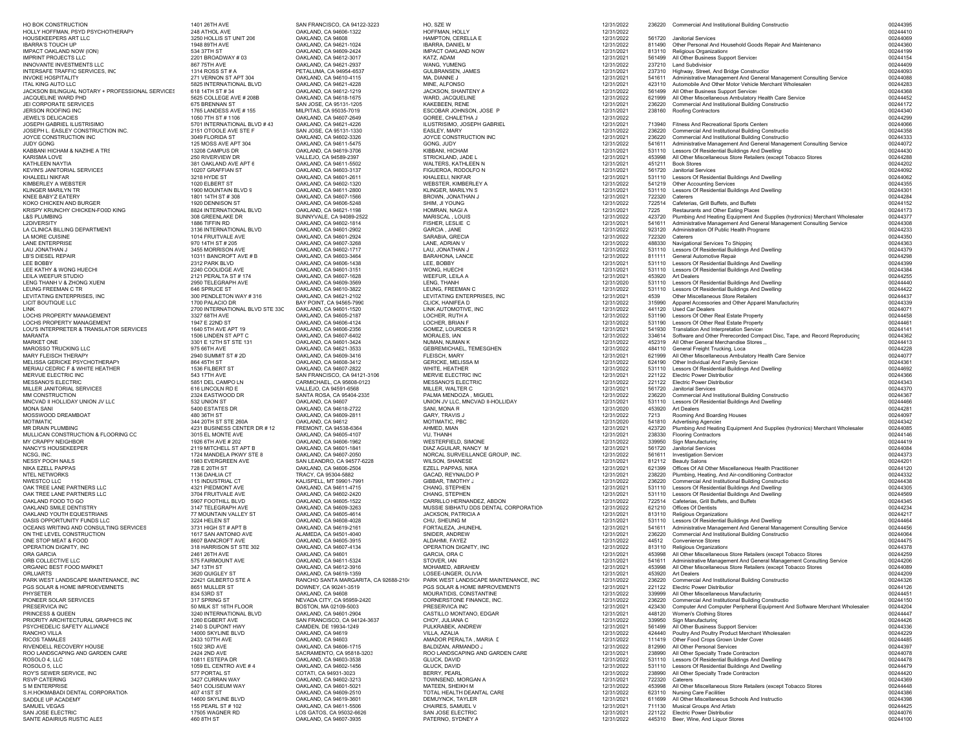| HO BOK CONSTRUCTION                                                    | 1401 26TH AVE                                     | SAN FRANCISCO, CA 94122-3223                              | HO, SZE W                                        | 12/31/2022               |                  | 236220 Commercial And Institutional Building Constructio                                                                          | 00244395             |
|------------------------------------------------------------------------|---------------------------------------------------|-----------------------------------------------------------|--------------------------------------------------|--------------------------|------------------|-----------------------------------------------------------------------------------------------------------------------------------|----------------------|
| HOLLY HOFFMAN, PSYD PSYCHOTHERAPY<br>HOUSEKEEPERS ART LLC              | 248 ATHOL AVE<br>3250 HOLLIS ST UNIT 206          | OAKLAND, CA 94606-1322<br>OAKLAND, CA 94608               | HOFFMAN, HOLLY<br>HAMPTON, CERELLA E             | 12/31/2022<br>12/31/2022 | 561720           | Janitorial Services                                                                                                               | 00244410<br>00244069 |
| <b>IBARRA'S TOUCH UP</b>                                               | 1948 89TH AVE                                     | OAKLAND, CA 94621-1024                                    | IBARRA, DANIEL M                                 | 12/31/2022               | 811490           | Other Personal And Household Goods Repair And Maintenano                                                                          | 00244360             |
| IMPACT OAKLAND NOW (ION)                                               | 534 37TH ST                                       | OAKLAND, CA 94609-2424                                    | IMPACT OAKLAND NOW                               | 12/31/2021               | 813110           | Religious Organizations                                                                                                           | 00244199             |
| <b>IMPRINT PROJECTS LLC</b><br>INNOVANTE INVESTMENTS LLC               | 2201 BROADWAY # 03<br>867 75TH AVE                | OAKLAND, CA 94612-3017<br>OAKLAND, CA 94621-2937          | KATZ, ADAM<br>WANG, YUMENG                       | 12/31/2021<br>12/31/2022 | 561499<br>237210 | All Other Business Support Services<br><b>Land Subdivision</b>                                                                    | 00244154<br>00244409 |
| INTERSAFE TRAFFIC SERVICES, INC                                        | 1314 ROSS ST # A                                  | PETALUMA, CA 94954-6537                                   | GULBRANSEN, JAMES                                | 12/31/2021               | 237310           | Highway, Street, And Bridge Constructior                                                                                          | 00244093             |
| <b>INVOKE HOSPITALITY</b>                                              | 271 VERNON ST APT 304                             | OAKLAND, CA 94610-4115                                    | MA, DIANNE J                                     | 12/31/2021               | 541611           | Administrative Management And General Management Consulting Service                                                               | 00244088             |
| ITAL KING AUTO LLC<br>JACKSON BILINGUAL NOTARY + PROFESSIONAL SERVICES | 5825 INTERNATIONAL BLVD<br>618 14TH ST #34        | OAKLAND, CA 94621-4228                                    | MINE, ALFONSO                                    | 12/31/2021               | 423110<br>561499 | Automobile And Other Motor Vehicle Merchant Wholesaler:                                                                           | 00244283             |
| JACQUELINE WARD PHD                                                    | 5625 COLLEGE AVE # 208B                           | OAKLAND, CA 94612-1219<br>OAKLAND, CA 94618-1675          | JACKSON, SHANTENY A<br>WARD, JACQUELINE          | 12/31/2022<br>12/31/2022 | 621999           | All Other Business Support Services<br>All Other Miscellaneous Ambulatory Health Care Service                                     | 00244368<br>00244452 |
| JEI CORPORATE SERVICES                                                 | 675 BRENNAN ST                                    | SAN JOSE, CA 95131-1205                                   | KAKEBEEN, RENE                                   | 12/31/2021               | 236220           | Commercial And Institutional Building Constructio                                                                                 | 00244172             |
| JERSON ROOFING INC                                                     | 1765 LANDESS AVE # 155                            | MILPITAS, CA 95035-7019                                   | ESCOBAR JOHNSON, JOSE P                          | 12/31/2021               | 238160           | Roofing Contractors                                                                                                               | 00244340             |
| JEWEL'S DELICACIES<br>JOSEPH GABRIEL ILUSTRISIMC                       | 1050 7TH ST # 1106<br>5701 INTERNATIONAL BLVD #43 | OAKLAND, CA 94607-2649<br>OAKLAND, CA 94621-4226          | GOREE, CHALETHA J<br>ILUSTRISIMO, JOSEPH GABRIEL | 12/31/2022<br>12/31/2021 | 713940           | Fitness And Recreational Sports Centers                                                                                           | 00244299<br>00244066 |
| JOSEPH L. EASLEY CONSTRUCTION INC.                                     | 2151 OTOOLE AVE STE F                             | SAN JOSE, CA 95131-1330                                   | EASLEY, MARY                                     | 12/31/2022               | 236220           | Commercial And Institutional Building Constructio                                                                                 | 00244358             |
| JOYCE CONSTRUCTION INC                                                 | 3049 FLORIDA ST                                   | OAKLAND, CA 94602-3326                                    | JOYCE CONSTRUCTION INC                           | 12/31/2021               | 236220           | Commercial And Institutional Building Constructio                                                                                 | 00244333             |
| JUDY GONG<br>KABBANI HICHAM & NAZIHE A TRS                             | 125 MOSS AVE APT 304<br>13208 CAMPUS DR           | OAKLAND, CA 94611-5475<br>OAKLAND, CA 94619-3706          | GONG, JUDY<br>KIBBANI, HICHAM                    | 12/31/2022<br>12/31/2021 | 541611<br>531110 | Administrative Management And General Management Consulting Service<br>Lessors Of Residential Buildings And Dwelling:             | 00244072<br>00244430 |
| KARISMA LOVE                                                           | 250 RIVERVIEW DR                                  | VALLEJO, CA 94589-2397                                    | STRICKLAND, JADE L                               | 12/31/2021               | 453998           | All Other Miscellaneous Store Retailers (except Tobacco Stores                                                                    | 00244288             |
| KATHLEEN NAYTIA                                                        | 381 OAKLAND AVE APT 6                             | OAKLAND, CA 94611-5502                                    | WALTERS, KATHLEEN N                              | 12/31/2021               |                  | 451211 Book Stores                                                                                                                | 00244202             |
| KEVIN'S JANITORIAL SERVICES<br>KHALEELI NIKFAR                         | 10207 GRAFFIAN ST<br>3218 HYDE ST                 | OAKLAND, CA 94603-3137<br>OAKLAND, CA 94601-2611          | FIGUEROA, RODOLFO N<br>KHALEELI, NIKFAR          | 12/31/2021               | 561720           | Janitorial Services<br>Lessors Of Residential Buildings And Dwelling:                                                             | 00244092             |
| KIMBERLEY A WEBSTER                                                    | 1020 ELBERT ST                                    | OAKLAND, CA 94602-1320                                    | WEBSTER, KIMBERLEY A                             | 12/31/2021<br>12/31/2022 | 531110<br>541219 | <b>Other Accounting Services</b>                                                                                                  | 00244062<br>00244355 |
| KLINGER MARILYN TR                                                     | 1900 MOUNTAIN BLVD 9                              | OAKLAND, CA 94611-2800                                    | KLINGER, MARILYN S                               | 12/31/2021               |                  | 531110 Lessors Of Residential Buildings And Dwelling:                                                                             | 00244301             |
| KNEE BABY'Z EATERY                                                     | 1801 14TH ST # 308                                | OAKLAND, CA 94607-1566                                    | BROWN, JONATHAN J                                | 12/31/2021               |                  | 722320 Caterers                                                                                                                   | 00244284             |
| KOKO CHICKEN AND BURGER<br>KRISPY KRUNCHY CHICKEN-FO0D KING            | 1920 DENNISON ST<br>8824 INTERNATIONAL BLVD       | OAKLAND, CA 94606-5248<br>OAKLAND, CA 94621-1198          | SHIM, JI YOUNG<br>HOMRAN, NAGI A                 | 12/31/2022<br>12/31/2021 | 722514<br>7225   | Cafeterias, Grill Buffets, and Buffets<br>Restaurants and Other Eating Places                                                     | 00244152<br>00244173 |
| L&S PLUMBING                                                           | 308 GREENLAKE DR                                  | SUNNYVALE, CA 94089-2522                                  | MARISCAL, LOUIS                                  | 12/31/2022               | 423720           | Plumbing And Heating Equipment And Supplies (hydronics) Merchant Wholesaler                                                       | 00244377             |
| <b>L2DIVERSITY</b>                                                     | 1886 TIFFIN RD                                    | OAKLAND, CA 94602-1814                                    | FISHER, LESLIE C                                 | 12/31/2021               | 541611           | Administrative Management And General Management Consulting Service                                                               | 00244308             |
| LA CLINICA BILLING DEPARTMENT                                          | 3136 INTERNATIONAL BLVD                           | OAKLAND, CA 94601-2902<br>OAKLAND, CA 94601-2924          | GARCIA, JANE<br>SARABIA, GRECIA                  | 12/31/2022               | 923120<br>722320 | Administration Of Public Health Programs<br>Caterers                                                                              | 00244233<br>00244350 |
| LA MORE CUISINE<br>LANE ENTERPRISE                                     | 1014 FRUITVALE AVE<br>970 14TH ST # 205           | OAKLAND, CA 94607-3268                                    | LANE, ADRIAN V                                   | 12/31/2022<br>12/31/2022 | 488330           | Navigational Services To Shipping                                                                                                 | 00244363             |
| LAU JONATHAN J                                                         | 3455 MORRISON AVE                                 | OAKLAND, CA 94602-1717                                    | LAU, JONATHAN J                                  | 12/31/2022               | 531110           | Lessors Of Residential Buildings And Dwelling:                                                                                    | 00244379             |
| LB'S DIESEL REPAIR                                                     | 10311 BANCROFT AVE # B                            | OAKLAND, CA 94603-3464                                    | BARAHONA, LANCE                                  | 12/31/2022               | 811111           | General Automotive Repair                                                                                                         | 00244298             |
| LEE BOBBY<br>LEE KATHY & WONG HUECHI                                   | 2312 PARK BLVD<br>2240 COOLIDGE AVE               | OAKLAND, CA 94606-1438<br>OAKLAND, CA 94601-3151          | LEE, BOBBY<br>WONG, HUECHI                       | 12/31/2021<br>12/31/2021 | 531110<br>531110 | Lessors Of Residential Buildings And Dwelling:<br>Lessors Of Residential Buildings And Dwelling:                                  | 00244399<br>00244384 |
| LEILA WEEFUR STUDIO                                                    | 2121 PERALTA ST # 174                             | OAKLAND, CA 94607-1628                                    | WEEFUR, LEILA A                                  | 12/31/2021               | 453920           | Art Dealers                                                                                                                       | 00244255             |
| LENG THANH V & ZHONG XUENI                                             | 2950 TELEGRAPH AVE                                | OAKLAND, CA 94609-3569                                    | LENG, THANH                                      | 12/31/2020               | 531110           | Lessors Of Residential Buildings And Dwelling:                                                                                    | 00244440             |
| LEUNG FREEMAN C TR<br>LEVITATING ENTERPRISES, INC                      | 646 SPRUCE ST<br>300 PENDLETON WAY #316           | OAKLAND, CA 94610-3822<br>OAKLAND, CA 94621-2102          | LEUNG, FREEMAN C<br>LEVITATING ENTERPRISES, INC  | 12/31/2022<br>12/31/2021 | 531110<br>4539   | Lessors Of Residential Buildings And Dwelling:<br>Other Miscellaneous Store Retailers                                             | 00244422<br>00244437 |
| LICIT BOUTIQUE LLC                                                     | 1700 PALACIO DR                                   | BAY POINT, CA 94565-7990                                  | CLICK, HANIFEA D                                 | 12/31/2022               | 315990           | Apparel Accessories and Other Apparel Manufacturing                                                                               | 00244339             |
| LINK                                                                   | 2700 INTERNATIONAL BLVD STE 33C                   | OAKLAND, CA 94601-1520                                    | LINK AUTOMOTIVE, INC                             | 12/31/2022               | 441120           | Used Car Dealers                                                                                                                  | 00244071             |
| LOCHS PROPERTY MANAGEMENT<br>LOCHS PROPERTY MANAGEMENT                 | 3327 68TH AVE<br>1947 E 22ND ST                   | OAKLAND, CA 94605-2187<br>OAKLAND, CA 94606-4124          | LOCHER, RUTH A<br>LOCHER, BRIAN F                | 12/31/2022<br>12/31/2022 | 531190<br>531190 | Lessors Of Other Real Estate Property<br>Lessors Of Other Real Estate Property                                                    | 00244458<br>00244461 |
| LOU'S INTERPRETER & TRANSLATOR SERVICES                                | 1640 5TH AVE APT 19                               | OAKLAND, CA 94606-2356                                    | GOMEZ, LOURDES R                                 | 12/31/2021               | 541930           | Translation And Interpretation Service:                                                                                           | 00244141             |
| MARANTA                                                                | 1506 LINDEN ST APT C                              | OAKLAND, CA 94607-6402                                    | MORALES, IAN                                     | 12/31/2022               | 334614           | Software and Other Prerecorded Compact Disc, Tape, and Record Reproducing                                                         | 00244362             |
| <b>MARKET ONE</b><br>MAROSSO TRUCKING LLC                              | 3301 E 12TH ST STE 131                            | OAKLAND, CA 94601-3424                                    | NUMAN, NUMAN K                                   | 12/31/2022               | 452319           | All Other General Merchandise Stores                                                                                              | 00244413             |
| MARY FLEISCH THERAPY                                                   | 975 66TH AVE<br>2940 SUMMIT ST # 2D               | OAKLAND, CA 94621-3533<br>OAKLAND, CA 94609-3416          | GEBREMICHAEL, TEMESGHEN<br>FLEISCH, MARY         | 12/31/2022<br>12/31/2021 | 484110<br>621999 | General Freight Trucking, Loca<br>All Other Miscellaneous Ambulatory Health Care Service                                          | 00244228<br>00244077 |
| MELISSA GERICKE PSYCHOTHERAPY                                          | 864 45TH ST                                       | OAKLAND, CA 94608-3412                                    | GERICKE, MELISSA M                               | 12/31/2022               | 624190           | Other Individual And Family Service:                                                                                              | 00244361             |
| MERIAU CEDRIC F & WHITE HEATHER                                        | 1536 FILBERT ST                                   | OAKLAND, CA 94607-2822                                    | WHITE, HEATHER                                   | 12/31/2022               |                  | 531110 Lessors Of Residential Buildings And Dwelling:                                                                             | 00244692             |
| MERVUE ELECTRIC INC<br>MESSANO'S ELECTRIC                              | 543 17TH AVE<br>5851 DEL CAMPO LN                 | SAN FRANCISCO, CA 94121-3106<br>CARMICHAEL, CA 95608-0123 | MERVIE ELECTRIC INC<br>MESSANO'S ELECTRIC        | 12/31/2021<br>12/31/2022 | 221122<br>221122 | Electric Power Distribution<br>Electric Power Distribution                                                                        | 00244366<br>00244343 |
| MILLER JANITORIAL SERVICES                                             | 616 LINCOLN RD E                                  | VALLEJO, CA 94591-6568                                    | MILLER, WALTER C                                 | 12/31/2021               | 561720           | Janitorial Services                                                                                                               | 00244370             |
| MM CONSTRUCTION                                                        | 2324 EASTWOOD DR                                  | SANTA ROSA, CA 95404-2335                                 | PALMA MENDOZA, MIGUEL                            | 12/31/2022               | 236220           | Commercial And Institutional Building Constructio                                                                                 | 00244367             |
| MNCVAD II HOLLIDAY UNION JV LLC<br><b>MONA SANI</b>                    | 532 UNION ST<br>5400 ESTATES DR                   | OAKLAND, CA 94607<br>OAKLAND, CA 94618-2722               | UNION JV LLC, MNCVAD II-HOLLIDAY<br>SANI, MONA R | 12/31/2021<br>12/31/2020 | 531110<br>453920 | Lessors Of Residential Buildings And Dwelling:<br><b>Art Dealers</b>                                                              | 00244466<br>00244281 |
| MOSSWOOD DREAMBOAT                                                     | 480 36TH ST                                       | OAKLAND, CA 94609-2811                                    | GARY, TRAVIS J                                   | 12/31/2022               | 7213             | Rooming And Boarding Houses                                                                                                       | 00244097             |
| <b>MOTIMATIC</b>                                                       | 344 20TH ST STE 260A                              | OAKLAND, CA 94612                                         | MOTIMATIC, PBC                                   | 12/31/2020               | 541810           | <b>Advertising Agencies</b>                                                                                                       | 00244342             |
| MR DRAIN PLUMBING<br>MULLICAN CONSTRUCTION & FLOORING CC               | 4231 BUSINESS CENTER DR #12<br>3015 EL MONTE AVE  | FREMONT, CA 94538-6364<br>OAKLAND, CA 94605-4107          | AHMED, MIAN                                      | 12/31/2021               | 423720<br>238330 | Plumbing And Heating Equipment And Supplies (hydronics) Merchant Wholesaler                                                       | 00244085<br>00244146 |
| MY CRAPPY NEIGHBOR                                                     | 1926 6TH AVE # 202                                | OAKLAND, CA 94606-1962                                    | VU, THANH<br>WESTERFIELD, SIMONE                 | 12/31/2021<br>12/31/2022 | 339950           | <b>Flooring Contractors</b><br>Sign Manufacturing                                                                                 | 00244419             |
| NANCY'S HOUSEKEEPER                                                    | 2119 MITCHELL ST APT B                            | OAKLAND, CA 94601-1841                                    | DIAZ AGUILAR, NANCY M                            | 12/31/2021               | 561720           | Janitorial Services                                                                                                               | 00244084             |
| NCSG, INC.<br>NESSY POOH NAILS                                         | 1724 MANDELA PKWY STE 8                           | OAKLAND, CA 94607-2050                                    | NORCAL SURVEILLANCE GROUP, INC.                  | 12/31/2022               | 561611           | <b>Investigation Services</b><br>812112 Beauty Salons                                                                             | 00244373<br>00244201 |
| NIKA EZELL PAPPAS                                                      | 1983 EVERGREEN AVE<br>728 E 20TH ST               | SAN LEANDRO, CA 94577-6228<br>OAKLAND, CA 94606-2504      | WILSON, SHANESE<br>EZELL PAPPAS, NIKA            | 12/31/2021<br>12/31/2021 | 621399           | Offices Of All Other Miscellaneous Health Practitioner                                                                            | 00244120             |
| NTEL NETWORKS                                                          | 1136 DAHLIA CT                                    | TRACY, CA 95304-5882                                      | GACAD, REYNALDO P                                | 12/31/2021               | 238220           | Plumbing, Heating, And Air-conditioning Contractor                                                                                | 00244332             |
| NWESTCO LLC                                                            | 115 INDUSTRIAL CT                                 | KALISPELL, MT 59901-7991                                  | GIBBAR, TIMOTHY J                                | 12/31/2022               | 236220           | Commercial And Institutional Building Constructio                                                                                 | 00244438             |
| OAK TREE LANE PARTNERS LLC<br>OAK TREE LANE PARTNERS LLC               | 4321 PIEDMONT AVE<br>3704 FRUITVALE AVE           | OAKLAND, CA 94611-4715<br>OAKLAND, CA 94602-2420          | CHANG, STEPHEN<br>CHANG, STEPHEN                 | 12/31/2021<br>12/31/2021 | 531110<br>531110 | Lessors Of Residential Buildings And Dwelling:<br>Lessors Of Residential Buildings And Dwelling:                                  | 00244305<br>00244569 |
| OAKLAND FOOD TO GO                                                     | 5907 FOOTHILL BLVD                                | OAKLAND, CA 94605-1522                                    | CARRILLO HERNANDEZ, ABDON                        | 12/31/2022               |                  | 722514 Cafeterias, Grill Buffets, and Buffets                                                                                     | 00244345             |
| OAKLAND SMILE DENTISTRY                                                | 3147 TELEGRAPH AVE                                | OAKLAND, CA 94609-3263                                    | MUSSIE SIBHATU DDS DENTAL CORPORATION            | 12/31/2022               | 621210           | Offices Of Dentists                                                                                                               | 00244234             |
| OAKLAND YOUTH EQUESTRIANS<br>OASIS OPPORTUNITY FUNDS LLC               | 77 MOUNTAIN VALLEY ST<br>3224 HELEN ST            | OAKLAND, CA 94605-4614<br>OAKLAND, CA 94608-4028          | JACKSON, PATRICIA A<br>CHU, SHEUNG M             | 12/31/2021<br>12/31/2021 | 813110<br>531110 | Religious Organizations<br>Lessors Of Residential Buildings And Dwelling:                                                         | 00244217<br>00244464 |
| OCEANS WRITING AND CONSULTING SERVICES                                 | 3731 HIGH ST # APT B                              | OAKLAND, CA 94619-2161                                    | FORTALEZA, JHUNEHL                               | 12/31/2021               | 541611           | Administrative Management And General Management Consulting Service                                                               | 00244456             |
| ON THE LEVEL CONSTRUCTION                                              | 1617 SAN ANTONIO AVE                              | ALAMEDA, CA 94501-4040                                    | SNIDER, ANDREW                                   | 12/31/2021               | 236220           | Commercial And Institutional Building Constructio                                                                                 | 00244064             |
| ONE STOP MEAT & FOOD<br>OPERATION DIGNITY, INC                         | 8607 BANCROFT AVE<br>318 HARRISON ST STE 302      | OAKLAND, CA 94605-3915<br>OAKLAND, CA 94607-4134          | ALDAHMI, FAYEZ<br>OPERATION DIGNITY, INC         | 12/31/2022<br>12/31/2022 | 44512<br>813110  | Convenience Stores<br>Religious Organizations                                                                                     | 00244475<br>00244378 |
| ORA GARCIA                                                             | 2461 26TH AVE                                     | OAKLAND, CA 94601                                         | GARCIA, ORA C                                    | 12/31/2021               | 453998           | All Other Miscellaneous Store Retailers (except Tobacco Stores                                                                    | 00244259             |
| ORB COLLECTIVE LLC                                                     | 575 FAIRMOUNT AVE                                 | OAKLAND, CA 94611-5324                                    | STOVER, IAN                                      | 12/31/2021               |                  | 541611 Administrative Management And General Management Consulting Service                                                        | 00244206             |
| ORGANIC BEST FOOD MARKE"<br>ORLUARTS                                   | 347 13TH ST<br>3620 QUIGLEY ST                    | OAKLAND, CA 94612-3916<br>OAKLAND, CA 94619-1359          | MOHAMED, ABRAHEM<br>LOSEE-UNGER, OLIVIA          | 12/31/2021<br>12/31/2021 |                  | 453998 All Other Miscellaneous Store Retailers (except Tobacco Stores<br>453920 Art Dealers                                       | 00244089<br>00244209 |
| PARK WEST LANDSCAPE MAINTENANCE, INC                                   | 22421 GILBERTO STE A                              | RANCHO SANTA MARGARITA, CA 92688-2104                     | PARK WEST LANDSCAPE MAINTENANCE, INC             | 12/31/2022               | 236220           | Commercial And Institutional Building Constructio                                                                                 | 00244326             |
| PGS SOLAR & HOME IMPROEVEMNETS                                         | 8651 MULLER ST                                    | DOWNEY, CA 90241-3519                                     | PGS SOLAR & HOME IMPROVEMENTS                    | 12/31/2021               |                  | 221122 Electric Power Distribution                                                                                                | 00244126             |
| PHYSETER<br>PIONEER SOLAR SERVICES                                     | 834 53RD ST<br>317 SPRING ST                      | OAKLAND, CA 94608<br>NEVADA CITY, CA 95959-2420           | MOURATIDIS, CONSTANTINE                          | 12/31/2022               | 339999<br>236220 | All Other Miscellaneous Manufacturing                                                                                             | 00244451<br>00244150 |
| PRESERVICA INC                                                         | 50 MILK ST 16TH FLOOR                             | BOSTON, MA 02109-5003                                     | CORNERSTONE FINANCE, INC.<br>PRESERVICA INC      | 12/31/2022<br>12/31/2021 | 423430           | Commercial And Institutional Building Constructio<br>Computer And Computer Peripheral Equipment And Software Merchant Wholesalers | 00244204             |
| PRINCESS & QUEEN                                                       | 3240 INTERNATIONAL BLVD                           | OAKLAND, CA 94601-2904                                    | CASTILLO MONTANO, EDGAR                          | 12/31/2021               | 448120           | Women's Clothing Stores                                                                                                           | 00244447             |
| PRIORITY ARCHITECTURAL GRAPHICS INC<br>PSYCHEDELIC SAFETY ALLIANCE     | 1260 EGBERT AVE                                   | SAN FRANCISCO, CA 94124-3637                              | CHOY, JULIANA C                                  | 12/31/2022               |                  | 339950 Sign Manufacturing                                                                                                         | 00244426             |
| RANCHO VILLA                                                           | 2140 S DUPONT HWY<br>14000 SKYLINE BLVD           | CAMDEN, DE 19934-1249<br>OAKLAND, CA 94619                | PULKRABEK, ANDREW<br>VILLA, AZALIA               | 12/31/2021<br>12/31/2022 |                  | 561499 All Other Business Support Services<br>424440 Poultry And Poultry Product Merchant Wholesalers                             | 00244336<br>00244229 |
| RICOS TAMALES                                                          | 2433 107TH AVE                                    | OAKLAND, CA 94603                                         | AMADOR PERALTA, MARIA E                          | 12/31/2022               |                  | 111419 Other Food Crops Grown Under Cover                                                                                         | 00244485             |
| RIVENDELL RECOVERY HOUSE                                               | 1502 3RD AVE                                      | OAKLAND, CA 94606-1715                                    | BALDIZAN, ARMANDO J                              | 12/31/2022               |                  | 812990 All Other Personal Services                                                                                                | 00244397             |
| ROO LANDSCAPING AND GARDEN CARE<br>ROSOLO 4, LLC                       | 2424 2ND AVE<br>10811 ESTEPA DR                   | SACRAMENTO, CA 95818-3203<br>OAKLAND, CA 94603-3538       | ROO LANDSCAPING AND GARDEN CARE<br>GLUCK, DAVID  | 12/31/2021<br>12/31/2022 | 238990<br>531110 | All Other Specialty Trade Contractors<br>Lessors Of Residential Buildings And Dwelling:                                           | 00244078<br>00244478 |
| ROSOLO 5, LLC                                                          | 1059 EL CENTRO AVE # 4                            | OAKLAND, CA 94602-1456                                    | GLUCK, DAVID                                     | 12/31/2022               |                  | 531110 Lessors Of Residential Buildings And Dwelling:                                                                             | 00244479             |
| ROY'S SEWER SERVICE, INC                                               | 577 PORTAL ST                                     | COTATI, CA 94931-3023                                     | BERRY, PEARL                                     | 12/31/2022               | 238990           | All Other Specialty Trade Contractors                                                                                             | 00244420             |
| RSVP CATERING<br>S M ENTERPRISE                                        | 3427 CURRAN WAY<br>5401 COLISEUM WAY              | OAKLAND, CA 94602-3213<br>OAKLAND, CA 94601-5021          | TOWNSEND, MORGAN A<br>MATEEN, SHEIKH M           | 12/31/2021<br>12/31/2022 | 722320<br>453998 | Caterers<br>All Other Miscellaneous Store Retailers (except Tobacco Stores                                                        | 00244369<br>00244448 |
| S.H.HOKMABADI DENTAL CORPORATION                                       | 407 41ST ST                                       | OAKLAND, CA 94609-2510                                    | TOTAL HEALTH DEANTAL CARE                        | 12/31/2022               |                  | 623110 Nursing Care Facilities                                                                                                    | 00244386             |
| SADDLE UP ACADEMY                                                      | 14600 SKYLINE BLVD                                | OAKLAND, CA 94619-3601                                    | DEMUYNCK, TAYLER                                 | 12/31/2021               | 611699           | All Other Miscellaneous Schools And Instructio                                                                                    | 00244398             |
| SAMUEL VEGAS<br>SAN JOSE ELECTRIC                                      | 155 PEARL ST # 102<br>17505 WAGNER RD             | OAKLAND, CA 94611-5506<br>LOS GATOS, CA 95032-6626        | CHAIRES, SAMUEL V<br>SAN JOSE ELECTRIC           | 12/31/2021<br>12/31/2021 | 711130           | <b>Musical Groups And Artists</b><br>221122 Electric Power Distribution                                                           | 00244425<br>00244076 |
| SANTE ADAIRIUS RUSTIC ALES                                             | 460 8TH ST                                        | OAKLAND, CA 94607-3935                                    | PATERNO, SYDNEY A                                | 12/31/2022               |                  | 445310 Beer, Wine, And Liquor Stores                                                                                              | 00244100             |
|                                                                        |                                                   |                                                           |                                                  |                          |                  |                                                                                                                                   |                      |